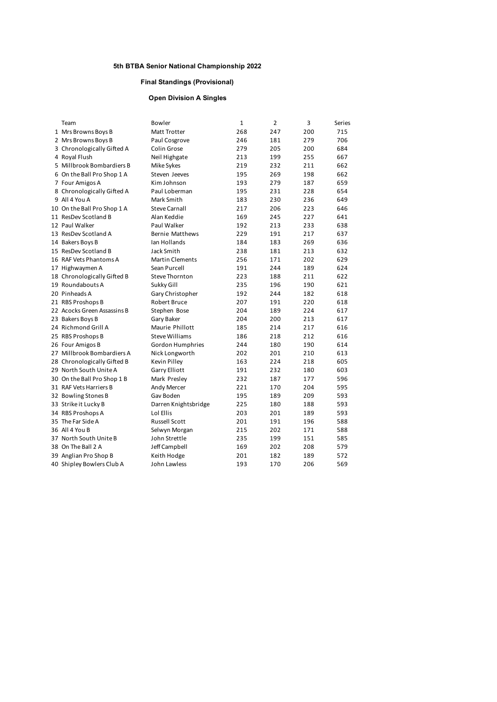#### **Final Standings (Provisional)**

#### **Open Division A Singles**

| Team                        | Bowler                 | 1   | 2   | 3   | Series |
|-----------------------------|------------------------|-----|-----|-----|--------|
| 1 Mrs Browns Boys B         | Matt Trotter           | 268 | 247 | 200 | 715    |
| 2 Mrs Browns Boys B         | Paul Cosgrove          | 246 | 181 | 279 | 706    |
| 3 Chronologically Gifted A  | Colin Grose            | 279 | 205 | 200 | 684    |
| 4 Royal Flush               | Neil Highgate          | 213 | 199 | 255 | 667    |
| 5 Millbrook Bombardiers B   | Mike Sykes             | 219 | 232 | 211 | 662    |
| 6 On the Ball Pro Shop 1 A  | Steven Jeeves          | 195 | 269 | 198 | 662    |
| 7 Four Amigos A             | Kim Johnson            | 193 | 279 | 187 | 659    |
| 8 Chronologically Gifted A  | Paul Loberman          | 195 | 231 | 228 | 654    |
| 9 All 4 You A               | Mark Smith             | 183 | 230 | 236 | 649    |
| 10 On the Ball Pro Shop 1 A | <b>Steve Carnall</b>   | 217 | 206 | 223 | 646    |
| 11 ResDev Scotland B        | Alan Keddie            | 169 | 245 | 227 | 641    |
| 12 Paul Walker              | Paul Walker            | 192 | 213 | 233 | 638    |
| 13 ResDev Scotland A        | <b>Bernie Matthews</b> | 229 | 191 | 217 | 637    |
| 14 Bakers Boys B            | Ian Hollands           | 184 | 183 | 269 | 636    |
| 15 ResDev Scotland B        | Jack Smith             | 238 | 181 | 213 | 632    |
| 16 RAF Vets Phantoms A      | <b>Martin Clements</b> | 256 | 171 | 202 | 629    |
| 17 Highwaymen A             | Sean Purcell           | 191 | 244 | 189 | 624    |
| 18 Chronologically Gifted B | <b>Steve Thornton</b>  | 223 | 188 | 211 | 622    |
| 19 Roundabouts A            | Sukky Gill             | 235 | 196 | 190 | 621    |
| 20 Pinheads A               | Gary Christopher       | 192 | 244 | 182 | 618    |
| 21 RBS Proshops B           | Robert Bruce           | 207 | 191 | 220 | 618    |
| 22 Acocks Green Assassins B | Stephen Bose           | 204 | 189 | 224 | 617    |
| 23 Bakers Boys B            | Gary Baker             | 204 | 200 | 213 | 617    |
| 24 Richmond Grill A         | Maurie Phillott        | 185 | 214 | 217 | 616    |
| 25 RBS Proshops B           | <b>Steve Williams</b>  | 186 | 218 | 212 | 616    |
| 26 Four Amigos B            | Gordon Humphries       | 244 | 180 | 190 | 614    |
| 27 Millbrook Bombardiers A  | Nick Longworth         | 202 | 201 | 210 | 613    |
| 28 Chronologically Gifted B | Kevin Pilley           | 163 | 224 | 218 | 605    |
| 29 North South Unite A      | Garry Elliott          | 191 | 232 | 180 | 603    |
| 30 On the Ball Pro Shop 1 B | Mark Presley           | 232 | 187 | 177 | 596    |
| 31 RAF Vets Harriers B      | Andy Mercer            | 221 | 170 | 204 | 595    |
| 32 Bowling Stones B         | Gav Boden              | 195 | 189 | 209 | 593    |
| 33 Strike it Lucky B        | Darren Knightsbridge   | 225 | 180 | 188 | 593    |
| 34 RBS Proshops A           | Lol Ellis              | 203 | 201 | 189 | 593    |
| 35 The Far Side A           | <b>Russell Scott</b>   | 201 | 191 | 196 | 588    |
| 36 All 4 You B              | Selwyn Morgan          | 215 | 202 | 171 | 588    |
| 37 North South Unite B      | John Strettle          | 235 | 199 | 151 | 585    |
| 38 On The Ball 2 A          | Jeff Campbell          | 169 | 202 | 208 | 579    |
| 39 Anglian Pro Shop B       | Keith Hodge            | 201 | 182 | 189 | 572    |
| 40 Shipley Bowlers Club A   | John Lawless           | 193 | 170 | 206 | 569    |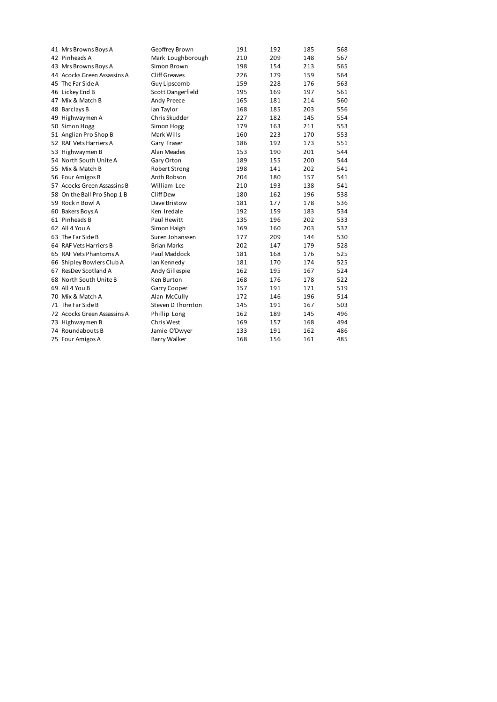| 41 Mrs Browns Boys A        | Geoffrey Brown       | 191 | 192 | 185 | 568 |
|-----------------------------|----------------------|-----|-----|-----|-----|
| 42 Pinheads A               | Mark Loughborough    | 210 | 209 | 148 | 567 |
| 43 Mrs Browns Boys A        | Simon Brown          | 198 | 154 | 213 | 565 |
| 44 Acocks Green Assassins A | <b>Cliff Greaves</b> | 226 | 179 | 159 | 564 |
| 45 The Far Side A           | Guy Lipscomb         | 159 | 228 | 176 | 563 |
| 46 Lickey End B             | Scott Dangerfield    | 195 | 169 | 197 | 561 |
| 47 Mix & Match B            | Andy Preece          | 165 | 181 | 214 | 560 |
| 48 Barclays B               | Ian Taylor           | 168 | 185 | 203 | 556 |
| 49 Highwaymen A             | Chris Skudder        | 227 | 182 | 145 | 554 |
| 50 Simon Hogg               | Simon Hogg           | 179 | 163 | 211 | 553 |
| 51 Anglian Pro Shop B       | Mark Wills           | 160 | 223 | 170 | 553 |
| 52 RAF Vets Harriers A      | Gary Fraser          | 186 | 192 | 173 | 551 |
| 53 Highwaymen B             | Alan Meades          | 153 | 190 | 201 | 544 |
| 54 North South Unite A      | Gary Orton           | 189 | 155 | 200 | 544 |
| 55 Mix & Match B            | Robert Strong        | 198 | 141 | 202 | 541 |
| 56 Four Amigos B            | Anth Robson          | 204 | 180 | 157 | 541 |
| 57 Acocks Green Assassins B | William Lee          | 210 | 193 | 138 | 541 |
| 58 On the Ball Pro Shop 1 B | Cliff Dew            | 180 | 162 | 196 | 538 |
| 59 Rock n Bowl A            | Dave Bristow         | 181 | 177 | 178 | 536 |
| 60 Bakers Boys A            | Ken Iredale          | 192 | 159 | 183 | 534 |
| 61 Pinheads B               | Paul Hewitt          | 135 | 196 | 202 | 533 |
| 62 All 4 You A              | Simon Haigh          | 169 | 160 | 203 | 532 |
| 63 The Far Side B           | Suren Johanssen      | 177 | 209 | 144 | 530 |
| 64 RAF Vets Harriers B      | <b>Brian Marks</b>   | 202 | 147 | 179 | 528 |
| 65 RAF Vets Phantoms A      | Paul Maddock         | 181 | 168 | 176 | 525 |
| 66 Shipley Bowlers Club A   | Ian Kennedy          | 181 | 170 | 174 | 525 |
| 67 ResDev Scotland A        | Andy Gillespie       | 162 | 195 | 167 | 524 |
| 68 North South Unite B      | Ken Burton           | 168 | 176 | 178 | 522 |
| 69 All 4 You B              | Garry Cooper         | 157 | 191 | 171 | 519 |
| 70 Mix & Match A            | Alan McCully         | 172 | 146 | 196 | 514 |
| 71 The Far Side B           | Steven D Thornton    | 145 | 191 | 167 | 503 |
| 72 Acocks Green Assassins A | Phillip Long         | 162 | 189 | 145 | 496 |
| 73 Highwaymen B             | Chris West           | 169 | 157 | 168 | 494 |
| 74 Roundabouts B            | Jamie O'Dwyer        | 133 | 191 | 162 | 486 |
| 75 Four Amigos A            | <b>Barry Walker</b>  | 168 | 156 | 161 | 485 |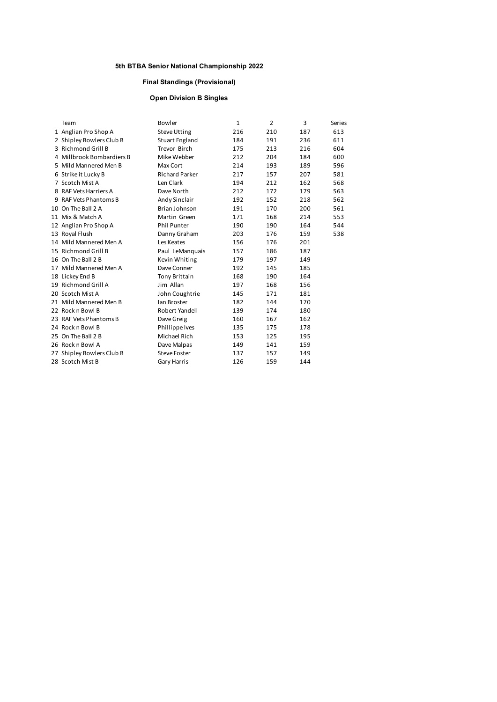#### **Final Standings (Provisional)**

#### **Open Division B Singles**

| Team                      | Bowler                | 1   | $\overline{2}$ | 3   | Series |
|---------------------------|-----------------------|-----|----------------|-----|--------|
| 1 Anglian Pro Shop A      | <b>Steve Utting</b>   | 216 | 210            | 187 | 613    |
| 2 Shipley Bowlers Club B  | Stuart England        | 184 | 191            | 236 | 611    |
| 3 Richmond Grill B        | Trevor Birch          | 175 | 213            | 216 | 604    |
| 4 Millbrook Bombardiers B | Mike Webber           | 212 | 204            | 184 | 600    |
| 5 Mild Mannered Men B     | Max Cort              | 214 | 193            | 189 | 596    |
| 6 Strike it Lucky B       | <b>Richard Parker</b> | 217 | 157            | 207 | 581    |
| 7 Scotch Mist A           | Len Clark             | 194 | 212            | 162 | 568    |
| 8 RAF Vets Harriers A     | Dave North            | 212 | 172            | 179 | 563    |
| 9 RAF Vets Phantoms B     | Andy Sinclair         | 192 | 152            | 218 | 562    |
| 10 On The Ball 2 A        | Brian Johnson         | 191 | 170            | 200 | 561    |
| 11 Mix & Match A          | Martin Green          | 171 | 168            | 214 | 553    |
| 12 Anglian Pro Shop A     | <b>Phil Punter</b>    | 190 | 190            | 164 | 544    |
| 13 Royal Flush            | Danny Graham          | 203 | 176            | 159 | 538    |
| 14 Mild Mannered Men A    | Les Keates            | 156 | 176            | 201 |        |
| 15 Richmond Grill B       | Paul LeManquais       | 157 | 186            | 187 |        |
| 16 On The Ball 2 B        | Kevin Whiting         | 179 | 197            | 149 |        |
| 17 Mild Mannered Men A    | Dave Conner           | 192 | 145            | 185 |        |
| 18 Lickey End B           | <b>Tony Brittain</b>  | 168 | 190            | 164 |        |
| 19 Richmond Grill A       | Jim Allan             | 197 | 168            | 156 |        |
| 20 Scotch Mist A          | John Coughtrie        | 145 | 171            | 181 |        |
| 21 Mild Mannered Men B    | Ian Broster           | 182 | 144            | 170 |        |
| 22 Rock n Bowl B          | Robert Yandell        | 139 | 174            | 180 |        |
| 23 RAF Vets Phantoms B    | Dave Greig            | 160 | 167            | 162 |        |
| 24 Rock n Bowl B          | Phillippe Ives        | 135 | 175            | 178 |        |
| 25 On The Ball 2 B        | Michael Rich          | 153 | 125            | 195 |        |
| 26 Rock n Bowl A          | Dave Malpas           | 149 | 141            | 159 |        |
| 27 Shipley Bowlers Club B | <b>Steve Foster</b>   | 137 | 157            | 149 |        |
| 28 Scotch Mist B          | <b>Gary Harris</b>    | 126 | 159            | 144 |        |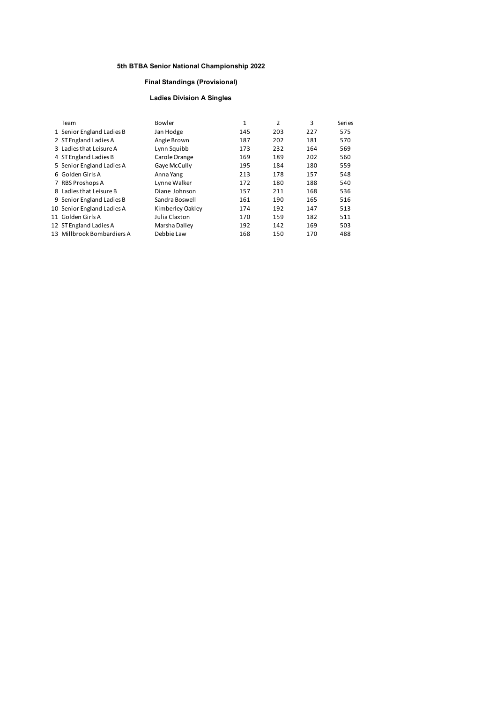#### **Final Standings (Provisional)**

#### **Ladies Division A Singles**

| Team                       | Bowler           | 1   | 2   | 3   | Series |
|----------------------------|------------------|-----|-----|-----|--------|
| 1 Senior England Ladies B  | Jan Hodge        | 145 | 203 | 227 | 575    |
| 2 ST England Ladies A      | Angie Brown      | 187 | 202 | 181 | 570    |
| 3 Ladies that Leisure A    | Lynn Squibb      | 173 | 232 | 164 | 569    |
| 4 ST England Ladies B      | Carole Orange    | 169 | 189 | 202 | 560    |
| 5 Senior England Ladies A  | Gaye McCully     | 195 | 184 | 180 | 559    |
| 6 Golden Girls A           | Anna Yang        | 213 | 178 | 157 | 548    |
| 7 RBS Proshops A           | Lynne Walker     | 172 | 180 | 188 | 540    |
| 8 Ladies that Leisure B    | Diane Johnson    | 157 | 211 | 168 | 536    |
| 9 Senior England Ladies B  | Sandra Boswell   | 161 | 190 | 165 | 516    |
| 10 Senior England Ladies A | Kimberley Oakley | 174 | 192 | 147 | 513    |
| 11 Golden Girls A          | Julia Claxton    | 170 | 159 | 182 | 511    |
| 12 ST England Ladies A     | Marsha Dalley    | 192 | 142 | 169 | 503    |
| 13 Millbrook Bombardiers A | Debbie Law       | 168 | 150 | 170 | 488    |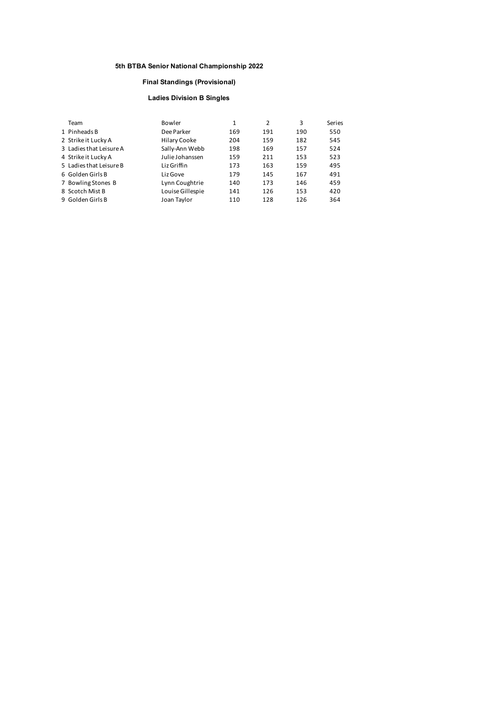#### **Final Standings (Provisional)**

#### **Ladies Division B Singles**

| Team                    | Bowler           | 1   | 2   | 3   | Series |
|-------------------------|------------------|-----|-----|-----|--------|
| 1 Pinheads B            | Dee Parker       | 169 | 191 | 190 | 550    |
| 2 Strike it Lucky A     | Hilary Cooke     | 204 | 159 | 182 | 545    |
| 3 Ladies that Leisure A | Sally-Ann Webb   | 198 | 169 | 157 | 524    |
| 4 Strike it Lucky A     | Julie Johanssen  | 159 | 211 | 153 | 523    |
| 5 Ladies that Leisure B | Liz Griffin      | 173 | 163 | 159 | 495    |
| 6 Golden Girls B        | Liz Gove         | 179 | 145 | 167 | 491    |
| 7 Bowling Stones B      | Lynn Coughtrie   | 140 | 173 | 146 | 459    |
| 8 Scotch Mist B         | Louise Gillespie | 141 | 126 | 153 | 420    |
| 9 Golden Girls B        | Joan Taylor      | 110 | 128 | 126 | 364    |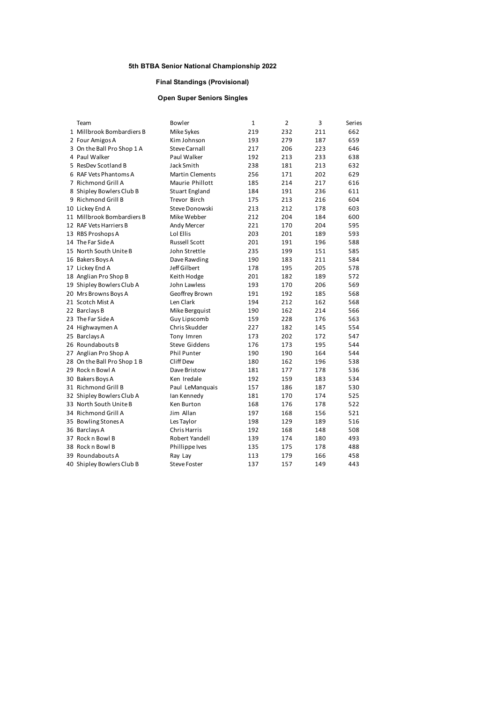#### **Final Standings (Provisional)**

#### **Open Super Seniors Singles**

| Team                        | Bowler                 | $\mathbf{1}$ | $\overline{2}$ | 3   | Series |
|-----------------------------|------------------------|--------------|----------------|-----|--------|
| 1 Millbrook Bombardiers B   | Mike Sykes             | 219          | 232            | 211 | 662    |
| 2 Four Amigos A             | Kim Johnson            | 193          | 279            | 187 | 659    |
| 3 On the Ball Pro Shop 1 A  | <b>Steve Carnall</b>   | 217          | 206            | 223 | 646    |
| 4 Paul Walker               | Paul Walker            | 192          | 213            | 233 | 638    |
| 5 ResDev Scotland B         | Jack Smith             | 238          | 181            | 213 | 632    |
| 6 RAF Vets Phantoms A       | <b>Martin Clements</b> | 256          | 171            | 202 | 629    |
| 7 Richmond Grill A          | Maurie Phillott        | 185          | 214            | 217 | 616    |
| 8 Shipley Bowlers Club B    | Stuart England         | 184          | 191            | 236 | 611    |
| 9 Richmond Grill B          | <b>Trevor Birch</b>    | 175          | 213            | 216 | 604    |
| 10 Lickey End A             | Steve Donowski         | 213          | 212            | 178 | 603    |
| 11 Millbrook Bombardiers B  | Mike Webber            | 212          | 204            | 184 | 600    |
| 12 RAF Vets Harriers B      | Andy Mercer            | 221          | 170            | 204 | 595    |
| 13 RBS Proshops A           | Lol Ellis              | 203          | 201            | 189 | 593    |
| 14 The Far Side A           | <b>Russell Scott</b>   | 201          | 191            | 196 | 588    |
| 15 North South Unite B      | John Strettle          | 235          | 199            | 151 | 585    |
| 16 Bakers Boys A            | Dave Rawding           | 190          | 183            | 211 | 584    |
| 17 Lickey End A             | Jeff Gilbert           | 178          | 195            | 205 | 578    |
| 18 Anglian Pro Shop B       | Keith Hodge            | 201          | 182            | 189 | 572    |
| 19 Shipley Bowlers Club A   | John Lawless           | 193          | 170            | 206 | 569    |
| 20 Mrs Browns Boys A        | Geoffrey Brown         | 191          | 192            | 185 | 568    |
| 21 Scotch Mist A            | Len Clark              | 194          | 212            | 162 | 568    |
| 22 Barclays B               | Mike Bergquist         | 190          | 162            | 214 | 566    |
| 23 The Far Side A           | Guy Lipscomb           | 159          | 228            | 176 | 563    |
| 24 Highwaymen A             | Chris Skudder          | 227          | 182            | 145 | 554    |
| 25 Barclays A               | Tony Imren             | 173          | 202            | 172 | 547    |
| 26 Roundabouts B            | <b>Steve Giddens</b>   | 176          | 173            | 195 | 544    |
| 27 Anglian Pro Shop A       | <b>Phil Punter</b>     | 190          | 190            | 164 | 544    |
| 28 On the Ball Pro Shop 1 B | Cliff Dew              | 180          | 162            | 196 | 538    |
| 29 Rock n Bowl A            | Dave Bristow           | 181          | 177            | 178 | 536    |
| 30 Bakers Boys A            | Ken Iredale            | 192          | 159            | 183 | 534    |
| 31 Richmond Grill B         | Paul LeManquais        | 157          | 186            | 187 | 530    |
| 32 Shipley Bowlers Club A   | Ian Kennedy            | 181          | 170            | 174 | 525    |
| 33 North South Unite B      | Ken Burton             | 168          | 176            | 178 | 522    |
| 34 Richmond Grill A         | Jim Allan              | 197          | 168            | 156 | 521    |
| 35 Bowling Stones A         | Les Taylor             | 198          | 129            | 189 | 516    |
| 36 Barclays A               | <b>Chris Harris</b>    | 192          | 168            | 148 | 508    |
| 37 Rock n Bowl B            | Robert Yandell         | 139          | 174            | 180 | 493    |
| 38 Rock n Bowl B            | Phillippe Ives         | 135          | 175            | 178 | 488    |
| 39 Roundabouts A            | Ray Lay                | 113          | 179            | 166 | 458    |
| 40 Shipley Bowlers Club B   | <b>Steve Foster</b>    | 137          | 157            | 149 | 443    |
|                             |                        |              |                |     |        |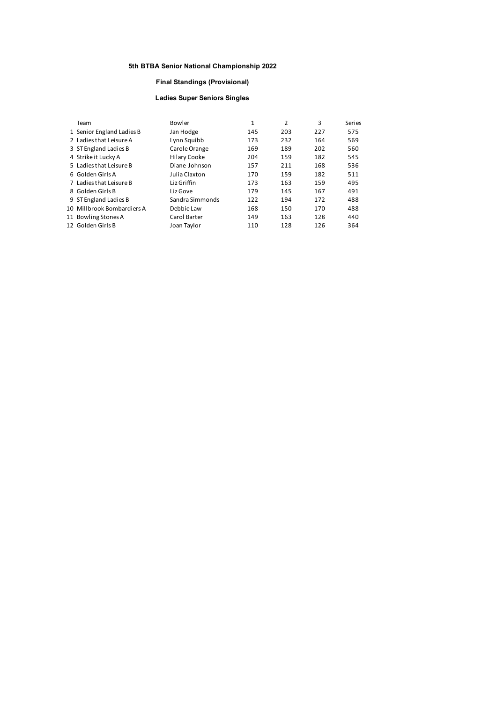#### **Final Standings (Provisional)**

#### **Ladies Super Seniors Singles**

| Team                       | Bowler          | 1   | 2   | 3   | Series |
|----------------------------|-----------------|-----|-----|-----|--------|
| 1 Senior England Ladies B  | Jan Hodge       | 145 | 203 | 227 | 575    |
| 2 Ladies that Leisure A    | Lynn Squibb     | 173 | 232 | 164 | 569    |
| 3 ST England Ladies B      | Carole Orange   | 169 | 189 | 202 | 560    |
| 4 Strike it Lucky A        | Hilary Cooke    | 204 | 159 | 182 | 545    |
| 5 Ladies that Leisure B    | Diane Johnson   | 157 | 211 | 168 | 536    |
| 6 Golden Girls A           | Julia Claxton   | 170 | 159 | 182 | 511    |
| 7 Ladies that Leisure B    | Liz Griffin     | 173 | 163 | 159 | 495    |
| 8 Golden Girls B           | Liz Gove        | 179 | 145 | 167 | 491    |
| 9 ST England Ladies B      | Sandra Simmonds | 122 | 194 | 172 | 488    |
| 10 Millbrook Bombardiers A | Debbie Law      | 168 | 150 | 170 | 488    |
| 11 Bowling Stones A        | Carol Barter    | 149 | 163 | 128 | 440    |
| 12 Golden Girls B          | Joan Taylor     | 110 | 128 | 126 | 364    |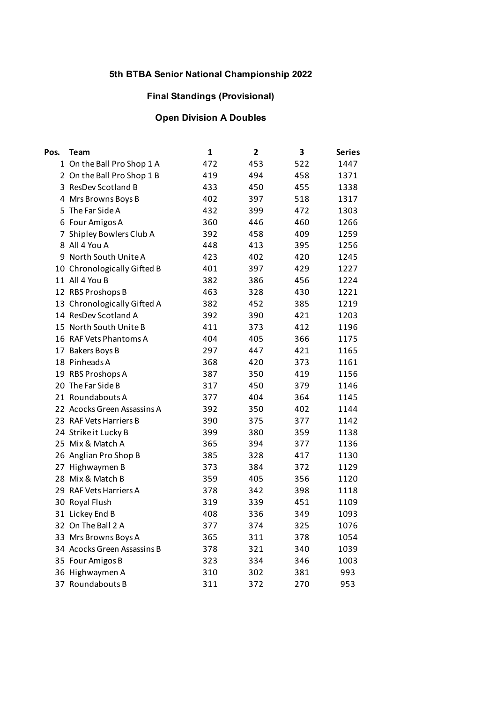## **Final Standings (Provisional)**

# **Open Division A Doubles**

| Pos. | <b>Team</b>                 | 1   | 2   | 3   | <b>Series</b> |
|------|-----------------------------|-----|-----|-----|---------------|
|      | 1 On the Ball Pro Shop 1 A  | 472 | 453 | 522 | 1447          |
|      | 2 On the Ball Pro Shop 1 B  | 419 | 494 | 458 | 1371          |
|      | 3 ResDev Scotland B         | 433 | 450 | 455 | 1338          |
|      | 4 Mrs Browns Boys B         | 402 | 397 | 518 | 1317          |
|      | 5 The Far Side A            | 432 | 399 | 472 | 1303          |
|      | 6 Four Amigos A             | 360 | 446 | 460 | 1266          |
|      | 7 Shipley Bowlers Club A    | 392 | 458 | 409 | 1259          |
|      | 8 All 4 You A               | 448 | 413 | 395 | 1256          |
|      | 9 North South Unite A       | 423 | 402 | 420 | 1245          |
|      | 10 Chronologically Gifted B | 401 | 397 | 429 | 1227          |
|      | 11 All 4 You B              | 382 | 386 | 456 | 1224          |
|      | 12 RBS Proshops B           | 463 | 328 | 430 | 1221          |
|      | 13 Chronologically Gifted A | 382 | 452 | 385 | 1219          |
|      | 14 ResDev Scotland A        | 392 | 390 | 421 | 1203          |
|      | 15 North South Unite B      | 411 | 373 | 412 | 1196          |
|      | 16 RAF Vets Phantoms A      | 404 | 405 | 366 | 1175          |
|      | 17 Bakers Boys B            | 297 | 447 | 421 | 1165          |
|      | 18 Pinheads A               | 368 | 420 | 373 | 1161          |
|      | 19 RBS Proshops A           | 387 | 350 | 419 | 1156          |
|      | 20 The Far Side B           | 317 | 450 | 379 | 1146          |
|      | 21 Roundabouts A            | 377 | 404 | 364 | 1145          |
|      | 22 Acocks Green Assassins A | 392 | 350 | 402 | 1144          |
|      | 23 RAF Vets Harriers B      | 390 | 375 | 377 | 1142          |
|      | 24 Strike it Lucky B        | 399 | 380 | 359 | 1138          |
|      | 25 Mix & Match A            | 365 | 394 | 377 | 1136          |
|      | 26 Anglian Pro Shop B       | 385 | 328 | 417 | 1130          |
|      | 27 Highwaymen B             | 373 | 384 | 372 | 1129          |
|      | 28 Mix & Match B            | 359 | 405 | 356 | 1120          |
|      | 29 RAF Vets Harriers A      | 378 | 342 | 398 | 1118          |
|      | 30 Royal Flush              | 319 | 339 | 451 | 1109          |
|      | 31 Lickey End B             | 408 | 336 | 349 | 1093          |
|      | 32 On The Ball 2 A          | 377 | 374 | 325 | 1076          |
|      | 33 Mrs Browns Boys A        | 365 | 311 | 378 | 1054          |
|      | 34 Acocks Green Assassins B | 378 | 321 | 340 | 1039          |
|      | 35 Four Amigos B            | 323 | 334 | 346 | 1003          |
|      | 36 Highwaymen A             | 310 | 302 | 381 | 993           |
|      | 37 Roundabouts B            | 311 | 372 | 270 | 953           |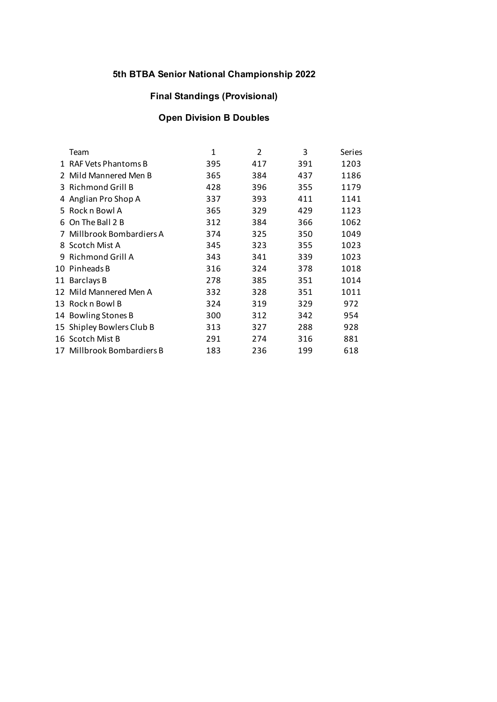## **Final Standings (Provisional)**

# **Open Division B Doubles**

| Team               | 1                                                                                                                                                                                                                                                                                                                                                                        | $\overline{2}$ | 3   | <b>Series</b> |
|--------------------|--------------------------------------------------------------------------------------------------------------------------------------------------------------------------------------------------------------------------------------------------------------------------------------------------------------------------------------------------------------------------|----------------|-----|---------------|
|                    | 395                                                                                                                                                                                                                                                                                                                                                                      | 417            | 391 | 1203          |
|                    | 365                                                                                                                                                                                                                                                                                                                                                                      | 384            | 437 | 1186          |
|                    | 428                                                                                                                                                                                                                                                                                                                                                                      | 396            | 355 | 1179          |
| Anglian Pro Shop A | 337                                                                                                                                                                                                                                                                                                                                                                      | 393            | 411 | 1141          |
|                    | 365                                                                                                                                                                                                                                                                                                                                                                      | 329            | 429 | 1123          |
|                    | 312                                                                                                                                                                                                                                                                                                                                                                      | 384            | 366 | 1062          |
|                    | 374                                                                                                                                                                                                                                                                                                                                                                      | 325            | 350 | 1049          |
|                    | 345                                                                                                                                                                                                                                                                                                                                                                      | 323            | 355 | 1023          |
|                    | 343                                                                                                                                                                                                                                                                                                                                                                      | 341            | 339 | 1023          |
|                    | 316                                                                                                                                                                                                                                                                                                                                                                      | 324            | 378 | 1018          |
|                    | 278                                                                                                                                                                                                                                                                                                                                                                      | 385            | 351 | 1014          |
|                    | 332                                                                                                                                                                                                                                                                                                                                                                      | 328            | 351 | 1011          |
|                    | 324                                                                                                                                                                                                                                                                                                                                                                      | 319            | 329 | 972           |
|                    | 300                                                                                                                                                                                                                                                                                                                                                                      | 312            | 342 | 954           |
|                    | 313                                                                                                                                                                                                                                                                                                                                                                      | 327            | 288 | 928           |
|                    | 291                                                                                                                                                                                                                                                                                                                                                                      | 274            | 316 | 881           |
|                    | 183                                                                                                                                                                                                                                                                                                                                                                      | 236            | 199 | 618           |
|                    | 1 RAF Vets Phantoms B<br>2 Mild Mannered Men B<br>3 Richmond Grill B<br>5 Rock n Bowl A<br>6 On The Ball 2 B<br>7 Millbrook Bombardiers A<br>8 Scotch Mist A<br>9 Richmond Grill A<br>10 Pinheads B<br>11 Barclays B<br>12 Mild Mannered Men A<br>13 Rock n Bowl B<br>14 Bowling Stones B<br>15 Shipley Bowlers Club B<br>16 Scotch Mist B<br>17 Millbrook Bombardiers B |                |     |               |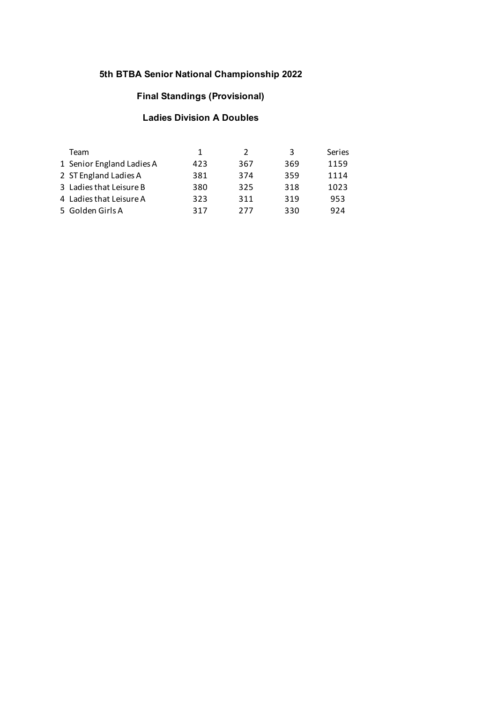## **Final Standings (Provisional)**

## **Ladies Division A Doubles**

| Team                      | 1   | 2   | 3   | Series |
|---------------------------|-----|-----|-----|--------|
| 1 Senior England Ladies A | 423 | 367 | 369 | 1159   |
| 2 ST England Ladies A     | 381 | 374 | 359 | 1114   |
| 3 Ladies that Leisure B   | 380 | 325 | 318 | 1023   |
| 4 Ladies that Leisure A   | 323 | 311 | 319 | 953    |
| 5 Golden Girls A          | 317 | 277 | 330 | 924    |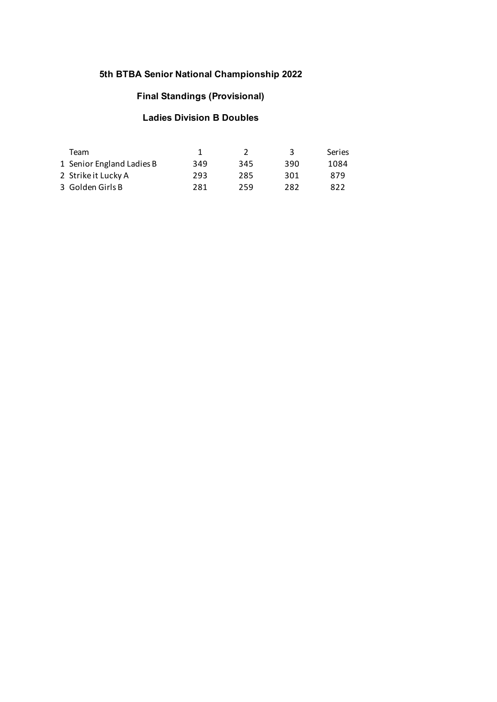## **Final Standings (Provisional)**

## **Ladies Division B Doubles**

| Team                      |     |     | 3   | <b>Series</b> |
|---------------------------|-----|-----|-----|---------------|
| 1 Senior England Ladies B | 349 | 345 | 390 | 1084          |
| 2 Strike it Lucky A       | 293 | 285 | 301 | 879           |
| 3 Golden Girls B          | 281 | 259 | 282 | 822           |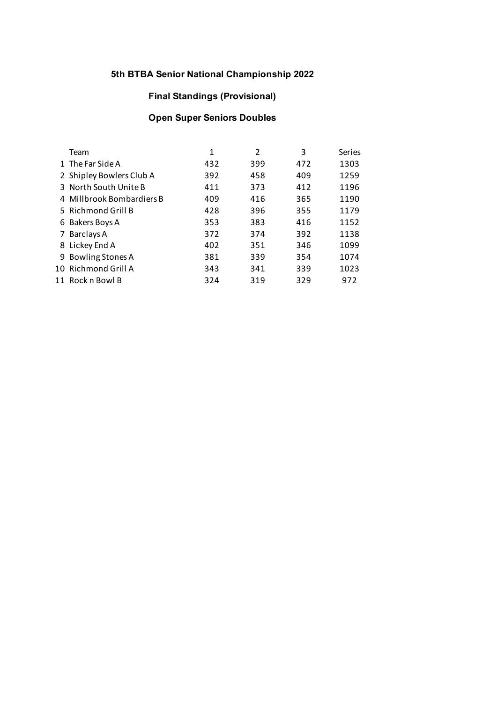## **Final Standings (Provisional)**

# **Open Super Seniors Doubles**

| Team                      | 1   | 2   | 3   | Series |
|---------------------------|-----|-----|-----|--------|
|                           |     |     |     |        |
| 1 The Far Side A          | 432 | 399 | 472 | 1303   |
| 2 Shipley Bowlers Club A  | 392 | 458 | 409 | 1259   |
| 3 North South Unite B     | 411 | 373 | 412 | 1196   |
| 4 Millbrook Bombardiers B | 409 | 416 | 365 | 1190   |
| 5 Richmond Grill B        | 428 | 396 | 355 | 1179   |
| 6 Bakers Boys A           | 353 | 383 | 416 | 1152   |
| 7 Barclays A              | 372 | 374 | 392 | 1138   |
| 8 Lickey End A            | 402 | 351 | 346 | 1099   |
| 9 Bowling Stones A        | 381 | 339 | 354 | 1074   |
| 10 Richmond Grill A       | 343 | 341 | 339 | 1023   |
| 11 Rock n Bowl B          | 324 | 319 | 329 | 972    |
|                           |     |     |     |        |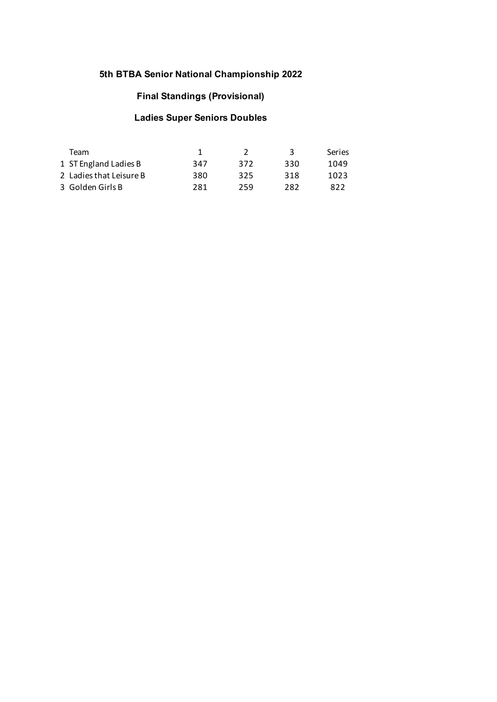## **Final Standings (Provisional)**

# **Ladies Super Seniors Doubles**

| Team                    |     |     | 3   | <b>Series</b> |
|-------------------------|-----|-----|-----|---------------|
| 1 ST England Ladies B   | 347 | 372 | 330 | 1049          |
| 2 Ladies that Leisure B | 380 | 325 | 318 | 1023          |
| 3 Golden Girls B        | 281 | 259 | 282 | 822           |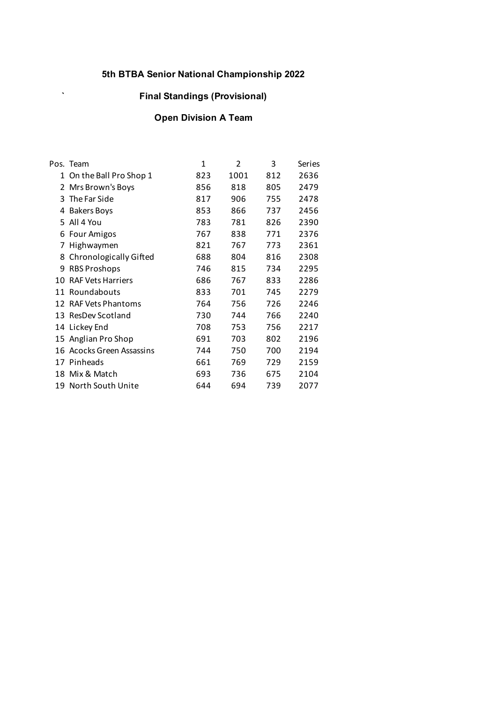# **` Final Standings (Provisional)**

# **Open Division A Team**

|    | Pos. Team                 | $\mathbf{1}$ | 2    | 3   | Series |
|----|---------------------------|--------------|------|-----|--------|
| 1  | On the Ball Pro Shop 1    | 823          | 1001 | 812 | 2636   |
|    | 2 Mrs Brown's Boys        | 856          | 818  | 805 | 2479   |
| 3  | The Far Side              | 817          | 906  | 755 | 2478   |
| 4  | <b>Bakers Boys</b>        | 853          | 866  | 737 | 2456   |
| 5. | All 4 You                 | 783          | 781  | 826 | 2390   |
| 6  | Four Amigos               | 767          | 838  | 771 | 2376   |
| 7  | Highwaymen                | 821          | 767  | 773 | 2361   |
|    | 8 Chronologically Gifted  | 688          | 804  | 816 | 2308   |
| 9  | <b>RBS Proshops</b>       | 746          | 815  | 734 | 2295   |
| 10 | <b>RAF Vets Harriers</b>  | 686          | 767  | 833 | 2286   |
| 11 | Roundabouts               | 833          | 701  | 745 | 2279   |
|    | 12 RAF Vets Phantoms      | 764          | 756  | 726 | 2246   |
| 13 | ResDev Scotland           | 730          | 744  | 766 | 2240   |
|    | 14 Lickey End             | 708          | 753  | 756 | 2217   |
|    | 15 Anglian Pro Shop       | 691          | 703  | 802 | 2196   |
|    | 16 Acocks Green Assassins | 744          | 750  | 700 | 2194   |
|    | 17 Pinheads               | 661          | 769  | 729 | 2159   |
|    | 18 Mix & Match            | 693          | 736  | 675 | 2104   |
|    | 19 North South Unite      | 644          | 694  | 739 | 2077   |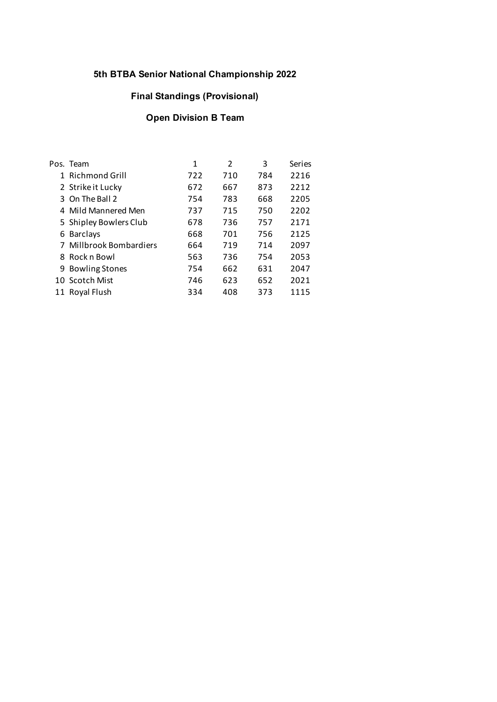## **Final Standings (Provisional)**

# **Open Division B Team**

| Pos. Team               | 1   | $\mathfrak{p}$ | 3   | Series |
|-------------------------|-----|----------------|-----|--------|
| 1 Richmond Grill        | 722 | 710            | 784 | 2216   |
| 2 Strike it Lucky       | 672 | 667            | 873 | 2212   |
| 3 On The Ball 2         | 754 | 783            | 668 | 2205   |
| 4 Mild Mannered Men     | 737 | 715            | 750 | 2202   |
| 5 Shipley Bowlers Club  | 678 | 736            | 757 | 2171   |
| 6 Barclays              | 668 | 701            | 756 | 2125   |
| 7 Millbrook Bombardiers | 664 | 719            | 714 | 2097   |
| 8 Rock n Bowl           | 563 | 736            | 754 | 2053   |
| 9 Bowling Stones        | 754 | 662            | 631 | 2047   |
| 10 Scotch Mist          | 746 | 623            | 652 | 2021   |
| 11 Royal Flush          | 334 | 408            | 373 | 1115   |
|                         |     |                |     |        |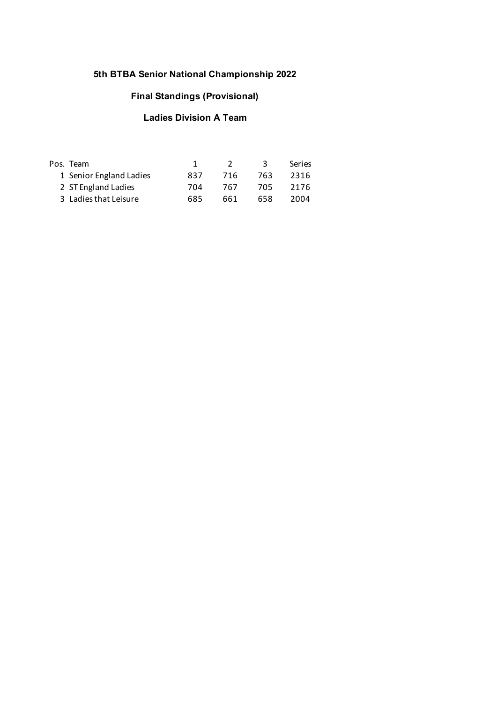# **Final Standings (Provisional)**

# **Ladies Division A Team**

| Pos. Team               |     |     |     | <b>Series</b> |
|-------------------------|-----|-----|-----|---------------|
| 1 Senior England Ladies | 837 | 716 | 763 | 2316          |
| 2 ST England Ladies     | 704 | 767 | 705 | 2176          |
| 3 Ladies that Leisure   | 685 | 661 | 658 | 2004          |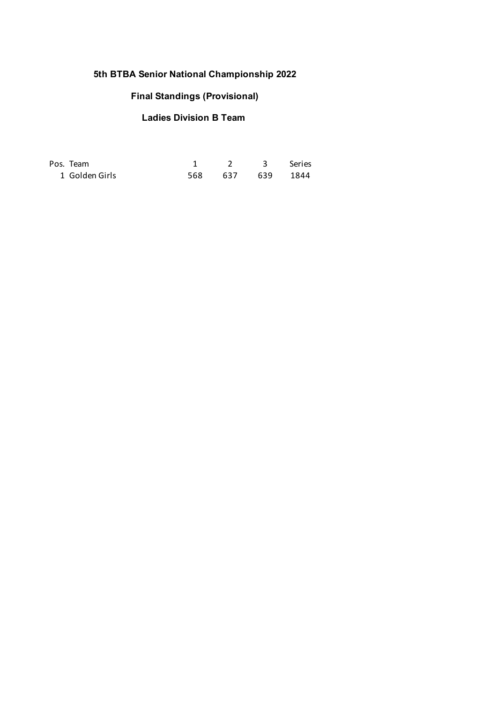# **Final Standings (Provisional)**

# **Ladies Division B Team**

| Pos. Team      | 1 2 3 Series     |  |
|----------------|------------------|--|
| 1 Golden Girls | 568 637 639 1844 |  |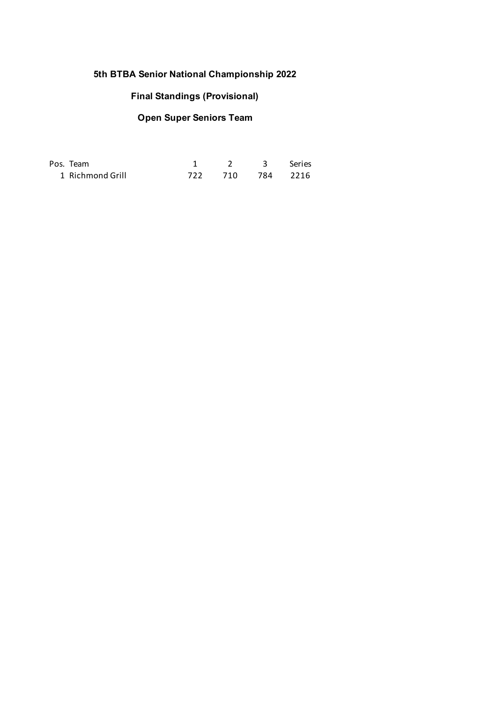#### **Final Standings (Provisional)**

# **Open Super Seniors Team**

| Pos. Team        | 2 3 Series       |  |
|------------------|------------------|--|
| 1 Richmond Grill | 722 710 784 2216 |  |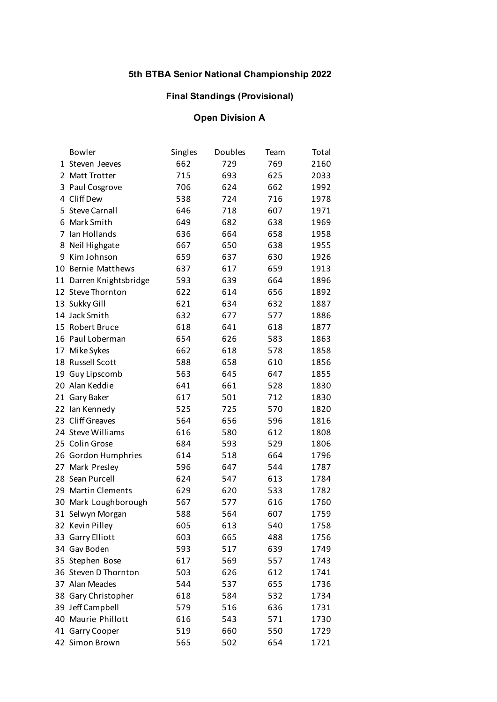## **Final Standings (Provisional)**

## **Open Division A**

|    | <b>Bowler</b>           | Singles | Doubles | Team | Total |
|----|-------------------------|---------|---------|------|-------|
|    | 1 Steven Jeeves         | 662     | 729     | 769  | 2160  |
|    | 2 Matt Trotter          | 715     | 693     | 625  | 2033  |
| 3  | Paul Cosgrove           | 706     | 624     | 662  | 1992  |
| 4  | Cliff Dew               | 538     | 724     | 716  | 1978  |
|    | 5 Steve Carnall         | 646     | 718     | 607  | 1971  |
|    | 6 Mark Smith            | 649     | 682     | 638  | 1969  |
| 7  | Ian Hollands            | 636     | 664     | 658  | 1958  |
| 8  | Neil Highgate           | 667     | 650     | 638  | 1955  |
| 9  | Kim Johnson             | 659     | 637     | 630  | 1926  |
| 10 | <b>Bernie Matthews</b>  | 637     | 617     | 659  | 1913  |
|    | 11 Darren Knightsbridge | 593     | 639     | 664  | 1896  |
|    | 12 Steve Thornton       | 622     | 614     | 656  | 1892  |
|    | 13 Sukky Gill           | 621     | 634     | 632  | 1887  |
|    | 14 Jack Smith           | 632     | 677     | 577  | 1886  |
|    | 15 Robert Bruce         | 618     | 641     | 618  | 1877  |
|    | 16 Paul Loberman        | 654     | 626     | 583  | 1863  |
|    | 17 Mike Sykes           | 662     | 618     | 578  | 1858  |
|    | 18 Russell Scott        | 588     | 658     | 610  | 1856  |
| 19 | Guy Lipscomb            | 563     | 645     | 647  | 1855  |
|    | 20 Alan Keddie          | 641     | 661     | 528  | 1830  |
|    | 21 Gary Baker           | 617     | 501     | 712  | 1830  |
|    | 22 Ian Kennedy          | 525     | 725     | 570  | 1820  |
|    | 23 Cliff Greaves        | 564     | 656     | 596  | 1816  |
|    | 24 Steve Williams       | 616     | 580     | 612  | 1808  |
|    | 25 Colin Grose          | 684     | 593     | 529  | 1806  |
|    | 26 Gordon Humphries     | 614     | 518     | 664  | 1796  |
| 27 | Mark Presley            | 596     | 647     | 544  | 1787  |
|    | 28 Sean Purcell         | 624     | 547     | 613  | 1784  |
|    | 29 Martin Clements      | 629     | 620     | 533  | 1782  |
|    | 30 Mark Loughborough    | 567     | 577     | 616  | 1760  |
|    | 31 Selwyn Morgan        | 588     | 564     | 607  | 1759  |
|    | 32 Kevin Pilley         | 605     | 613     | 540  | 1758  |
|    | 33 Garry Elliott        | 603     | 665     | 488  | 1756  |
|    | 34 Gav Boden            | 593     | 517     | 639  | 1749  |
|    | 35 Stephen Bose         | 617     | 569     | 557  | 1743  |
|    | 36 Steven D Thornton    | 503     | 626     | 612  | 1741  |
|    | 37 Alan Meades          | 544     | 537     | 655  | 1736  |
|    | 38 Gary Christopher     | 618     | 584     | 532  | 1734  |
|    | 39 Jeff Campbell        | 579     | 516     | 636  | 1731  |
|    | 40 Maurie Phillott      | 616     | 543     | 571  | 1730  |
|    | 41 Garry Cooper         | 519     | 660     | 550  | 1729  |
|    | 42 Simon Brown          | 565     | 502     | 654  | 1721  |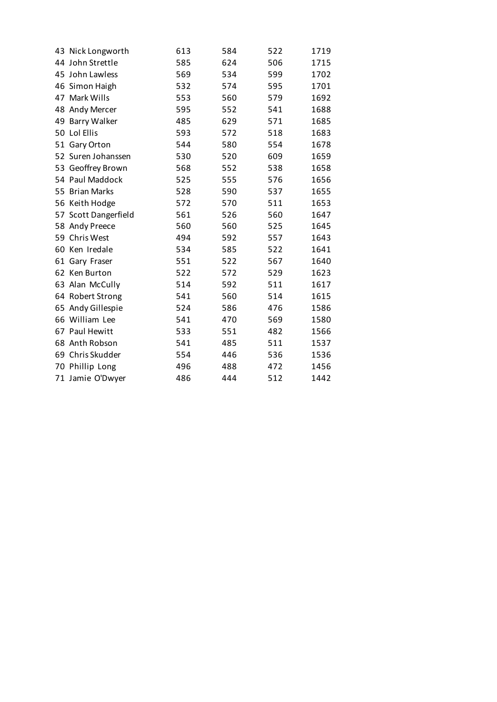|                      | 613 | 584 | 522 | 1719 |
|----------------------|-----|-----|-----|------|
| 43 Nick Longworth    |     |     |     |      |
| 44 John Strettle     | 585 | 624 | 506 | 1715 |
| 45 John Lawless      | 569 | 534 | 599 | 1702 |
| 46 Simon Haigh       | 532 | 574 | 595 | 1701 |
| 47 Mark Wills        | 553 | 560 | 579 | 1692 |
| 48 Andy Mercer       | 595 | 552 | 541 | 1688 |
| 49 Barry Walker      | 485 | 629 | 571 | 1685 |
| 50 Lol Ellis         | 593 | 572 | 518 | 1683 |
| 51 Gary Orton        | 544 | 580 | 554 | 1678 |
| 52 Suren Johanssen   | 530 | 520 | 609 | 1659 |
| 53 Geoffrey Brown    | 568 | 552 | 538 | 1658 |
| 54 Paul Maddock      | 525 | 555 | 576 | 1656 |
| 55 Brian Marks       | 528 | 590 | 537 | 1655 |
| 56 Keith Hodge       | 572 | 570 | 511 | 1653 |
| 57 Scott Dangerfield | 561 | 526 | 560 | 1647 |
| 58 Andy Preece       | 560 | 560 | 525 | 1645 |
| 59 Chris West        | 494 | 592 | 557 | 1643 |
| 60 Ken Iredale       | 534 | 585 | 522 | 1641 |
| 61 Gary Fraser       | 551 | 522 | 567 | 1640 |
| 62 Ken Burton        | 522 | 572 | 529 | 1623 |
| 63 Alan McCully      | 514 | 592 | 511 | 1617 |
| 64 Robert Strong     | 541 | 560 | 514 | 1615 |
| 65 Andy Gillespie    | 524 | 586 | 476 | 1586 |
| 66 William Lee       | 541 | 470 | 569 | 1580 |
| 67 Paul Hewitt       | 533 | 551 | 482 | 1566 |
| 68 Anth Robson       | 541 | 485 | 511 | 1537 |
| 69 Chris Skudder     | 554 | 446 | 536 | 1536 |
| 70 Phillip Long      | 496 | 488 | 472 | 1456 |
| 71 Jamie O'Dwyer     | 486 | 444 | 512 | 1442 |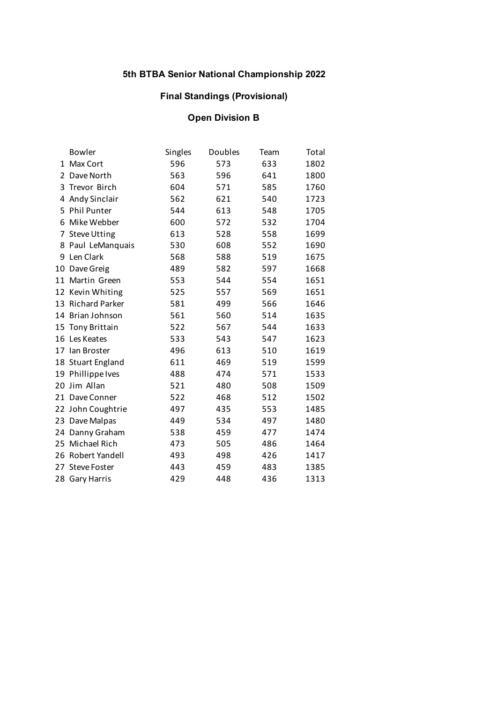## **Final Standings (Provisional)**

# **Open Division B**

|    | Bowler              | Singles | Doubles | Team | Total |
|----|---------------------|---------|---------|------|-------|
|    | 1 Max Cort          | 596     | 573     | 633  | 1802  |
| 2  | Dave North          | 563     | 596     | 641  | 1800  |
|    | 3 Trevor Birch      | 604     | 571     | 585  | 1760  |
|    | 4 Andy Sinclair     | 562     | 621     | 540  | 1723  |
|    | 5 Phil Punter       | 544     | 613     | 548  | 1705  |
| 6  | Mike Webber         | 600     | 572     | 532  | 1704  |
| 7  | <b>Steve Utting</b> | 613     | 528     | 558  | 1699  |
|    | 8 Paul LeManquais   | 530     | 608     | 552  | 1690  |
| 9  | Len Clark           | 568     | 588     | 519  | 1675  |
| 10 | Dave Greig          | 489     | 582     | 597  | 1668  |
| 11 | Martin Green        | 553     | 544     | 554  | 1651  |
|    | 12 Kevin Whiting    | 525     | 557     | 569  | 1651  |
|    | 13 Richard Parker   | 581     | 499     | 566  | 1646  |
|    | 14 Brian Johnson    | 561     | 560     | 514  | 1635  |
|    | 15 Tony Brittain    | 522     | 567     | 544  | 1633  |
|    | 16 Les Keates       | 533     | 543     | 547  | 1623  |
|    | 17 Ian Broster      | 496     | 613     | 510  | 1619  |
|    | 18 Stuart England   | 611     | 469     | 519  | 1599  |
|    | 19 Phillippe Ives   | 488     | 474     | 571  | 1533  |
|    | 20 Jim Allan        | 521     | 480     | 508  | 1509  |
| 21 | Dave Conner         | 522     | 468     | 512  | 1502  |
|    | 22 John Coughtrie   | 497     | 435     | 553  | 1485  |
| 23 | Dave Malpas         | 449     | 534     | 497  | 1480  |
|    | 24 Danny Graham     | 538     | 459     | 477  | 1474  |
|    | 25 Michael Rich     | 473     | 505     | 486  | 1464  |
|    | 26 Robert Yandell   | 493     | 498     | 426  | 1417  |
| 27 | <b>Steve Foster</b> | 443     | 459     | 483  | 1385  |
|    | 28 Gary Harris      | 429     | 448     | 436  | 1313  |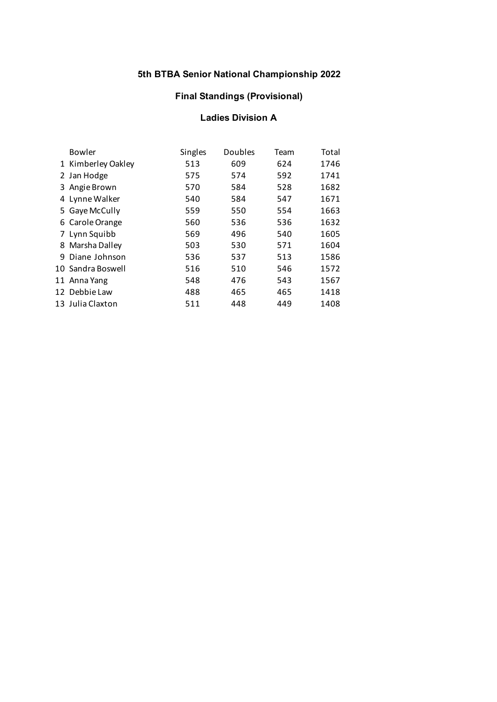## **Final Standings (Provisional)**

#### **Ladies Division A**

| Bowler             | Singles | Doubles | Team | Total |
|--------------------|---------|---------|------|-------|
| 1 Kimberley Oakley | 513     | 609     | 624  | 1746  |
| 2 Jan Hodge        | 575     | 574     | 592  | 1741  |
| 3 Angie Brown      | 570     | 584     | 528  | 1682  |
| 4 Lynne Walker     | 540     | 584     | 547  | 1671  |
| 5 Gaye McCully     | 559     | 550     | 554  | 1663  |
| 6 Carole Orange    | 560     | 536     | 536  | 1632  |
| 7 Lynn Squibb      | 569     | 496     | 540  | 1605  |
| 8 Marsha Dalley    | 503     | 530     | 571  | 1604  |
| 9 Diane Johnson    | 536     | 537     | 513  | 1586  |
| 10 Sandra Boswell  | 516     | 510     | 546  | 1572  |
| 11 Anna Yang       | 548     | 476     | 543  | 1567  |
| 12 Debbie Law      | 488     | 465     | 465  | 1418  |
| 13 Julia Claxton   | 511     | 448     | 449  | 1408  |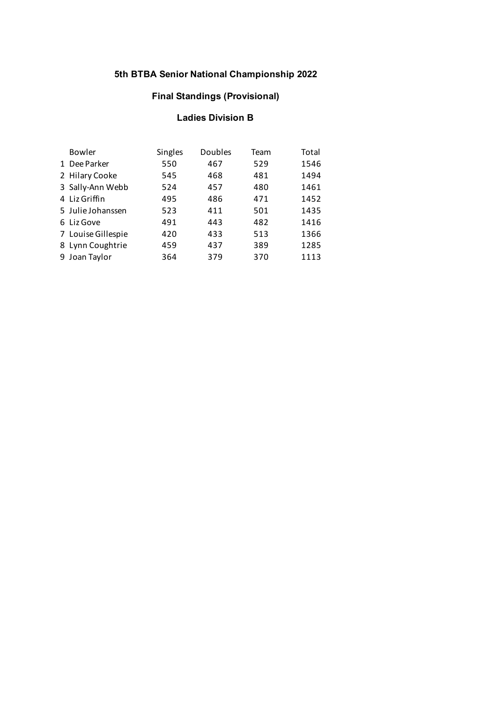## **Final Standings (Provisional)**

#### **Ladies Division B**

| Bowler | Singles                                                                                                                                                           | Doubles | Team | Total |
|--------|-------------------------------------------------------------------------------------------------------------------------------------------------------------------|---------|------|-------|
|        | 550                                                                                                                                                               | 467     | 529  | 1546  |
|        | 545                                                                                                                                                               | 468     | 481  | 1494  |
|        | 524                                                                                                                                                               | 457     | 480  | 1461  |
|        | 495                                                                                                                                                               | 486     | 471  | 1452  |
|        | 523                                                                                                                                                               | 411     | 501  | 1435  |
|        | 491                                                                                                                                                               | 443     | 482  | 1416  |
|        | 420                                                                                                                                                               | 433     | 513  | 1366  |
|        | 459                                                                                                                                                               | 437     | 389  | 1285  |
|        | 364                                                                                                                                                               | 379     | 370  | 1113  |
|        | 1 Dee Parker<br>2 Hilary Cooke<br>3 Sally-Ann Webb<br>4 Liz Griffin<br>5 Julie Johanssen<br>6 Liz Gove<br>7 Louise Gillespie<br>8 Lynn Coughtrie<br>9 Joan Taylor |         |      |       |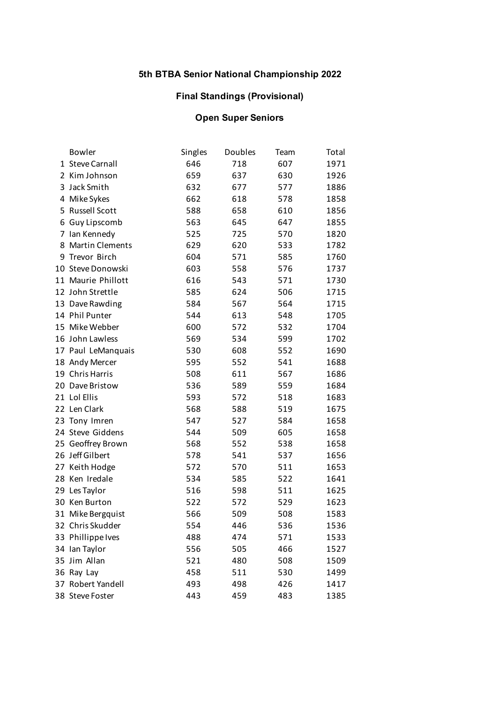## **Final Standings (Provisional)**

# **Open Super Seniors**

|    | <b>Bowler</b>          | Singles | Doubles | Team | Total |
|----|------------------------|---------|---------|------|-------|
|    | 1 Steve Carnall        | 646     | 718     | 607  | 1971  |
|    | 2 Kim Johnson          | 659     | 637     | 630  | 1926  |
|    | 3 Jack Smith           | 632     | 677     | 577  | 1886  |
|    | 4 Mike Sykes           | 662     | 618     | 578  | 1858  |
|    | 5 Russell Scott        | 588     | 658     | 610  | 1856  |
| 6  | Guy Lipscomb           | 563     | 645     | 647  | 1855  |
| 7  | Ian Kennedy            | 525     | 725     | 570  | 1820  |
| 8  | <b>Martin Clements</b> | 629     | 620     | 533  | 1782  |
|    | 9 Trevor Birch         | 604     | 571     | 585  | 1760  |
|    | 10 Steve Donowski      | 603     | 558     | 576  | 1737  |
|    | 11 Maurie Phillott     | 616     | 543     | 571  | 1730  |
|    | 12 John Strettle       | 585     | 624     | 506  | 1715  |
|    | 13 Dave Rawding        | 584     | 567     | 564  | 1715  |
|    | 14 Phil Punter         | 544     | 613     | 548  | 1705  |
|    | 15 Mike Webber         | 600     | 572     | 532  | 1704  |
|    | 16 John Lawless        | 569     | 534     | 599  | 1702  |
|    | 17 Paul LeManquais     | 530     | 608     | 552  | 1690  |
|    | 18 Andy Mercer         | 595     | 552     | 541  | 1688  |
|    | 19 Chris Harris        | 508     | 611     | 567  | 1686  |
| 20 | Dave Bristow           | 536     | 589     | 559  | 1684  |
|    | 21 Lol Ellis           | 593     | 572     | 518  | 1683  |
|    | 22 Len Clark           | 568     | 588     | 519  | 1675  |
|    | 23 Tony Imren          | 547     | 527     | 584  | 1658  |
|    | 24 Steve Giddens       | 544     | 509     | 605  | 1658  |
|    | 25 Geoffrey Brown      | 568     | 552     | 538  | 1658  |
|    | 26 Jeff Gilbert        | 578     | 541     | 537  | 1656  |
|    | 27 Keith Hodge         | 572     | 570     | 511  | 1653  |
|    | 28 Ken Iredale         | 534     | 585     | 522  | 1641  |
|    | 29 Les Taylor          | 516     | 598     | 511  | 1625  |
|    | 30 Ken Burton          | 522     | 572     | 529  | 1623  |
|    | 31 Mike Bergquist      | 566     | 509     | 508  | 1583  |
|    | 32 Chris Skudder       | 554     | 446     | 536  | 1536  |
|    | 33 Phillippe Ives      | 488     | 474     | 571  | 1533  |
|    | 34 Ian Taylor          | 556     | 505     | 466  | 1527  |
|    | 35 Jim Allan           | 521     | 480     | 508  | 1509  |
|    | 36 Ray Lay             | 458     | 511     | 530  | 1499  |
|    | 37 Robert Yandell      | 493     | 498     | 426  | 1417  |
|    | 38 Steve Foster        | 443     | 459     | 483  | 1385  |